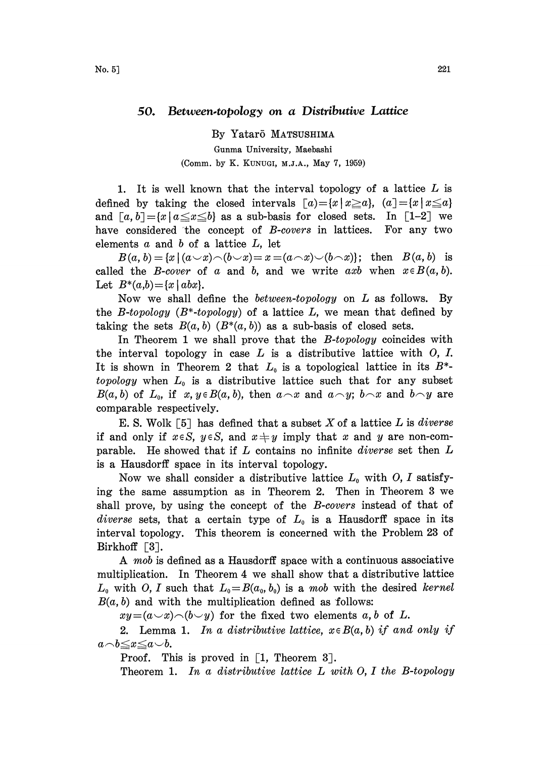## 50. Between.topology on a Distributive Lattice

By Yatar5 MATSUSHIMA

Gunma University, Maebashi (Comm. by K. KUNUGI, M.J.A., May 7, 1959)

1. It is well known that the interval topology of a lattice  $L$  is defined by taking the closed intervals  $[a]=[x \mid x \ge a]$ ,  $[a]=[x \mid x \le a]$ and  $[a, b] = \{x \mid a \le x \le b\}$  as a sub-basis for closed sets. In [1-2] we have considered the concept of B-covers in lattices. For any two elements  $a$  and  $b$  of a lattice  $L$ , let

 $B(a, b) = \{x \mid (a \cup x) \land (b \cup x) = x = (a \cap x) \cup (b \cap x)\};$  then  $B(a, b)$  is called the *B*-cover of a and b, and we write axb when  $x \in B(a, b)$ . Let  $B^*(a,b) = \{x \mid abx\}.$ 

Now we shall define the between-topology on L as follows. By the B-topology  $(B^*$ -topology) of a lattice L, we mean that defined by taking the sets  $B(a, b)$   $(B^*(a, b))$  as a sub-basis of closed sets.

In Theorem 1 we shall prove that the *B-topology* coincides with the interval topology in case  $L$  is a distributive lattice with  $O, I$ . It is shown in Theorem 2 that  $L_0$  is a topological lattice in its  $B^*$ topology when  $L_0$  is a distributive lattice such that for any subset  $B(a, b)$  of  $L_0$ , if  $x, y \in B(a, b)$ , then  $a \wedge x$  and  $a \wedge y$ ;  $b \wedge x$  and  $b \wedge y$  are comparable respectively.

E. S. Wolk [5] has defined that a subset X of a lattice  $L$  is *diverse* if and only if  $x \in S$ ,  $y \in S$ , and  $x \neq y$  imply that x and y are non-comparable. He showed that if  $L$  contains no infinite *diverse* set then  $L$ is a Hausdorff space in its interval topology.

Now we shall consider a distributive lattice  $L_0$  with O, I satisfying the same assumption as in Theorem 2. Then in Theorem 3 we shall prove, by using the concept of the *B-covers* instead of that of diverse sets, that a certain type of  $L_0$  is a Hausdorff space in its interval topology. This theorem is concerned with the Problem 23 of Birkhoff  $\lceil 3 \rceil$ .

A *mob* is defined as a Hausdorff space with a continuous associative multiplication. In Theorem 4 we shall show that a distributive lattice  $L_0$  with O, I such that  $L_0=B(a_0, b_0)$  is a mob with the desired kernel  $B(a, b)$  and with the multiplication defined as follows:

 $xy=(a\vee x)\wedge(b\vee y)$  for the fixed two elements a, b of L.

2. Lemma 1. In a distributive lattice,  $x \in B(a, b)$  if and only if  $a \neg b \leq x \leq a \neg b$ .

Proof. This is proved in  $\lceil 1, \text{ Theorem } 3 \rceil$ .

Theorem 1. In a distributive lattice  $L$  with  $O, I$  the B-topology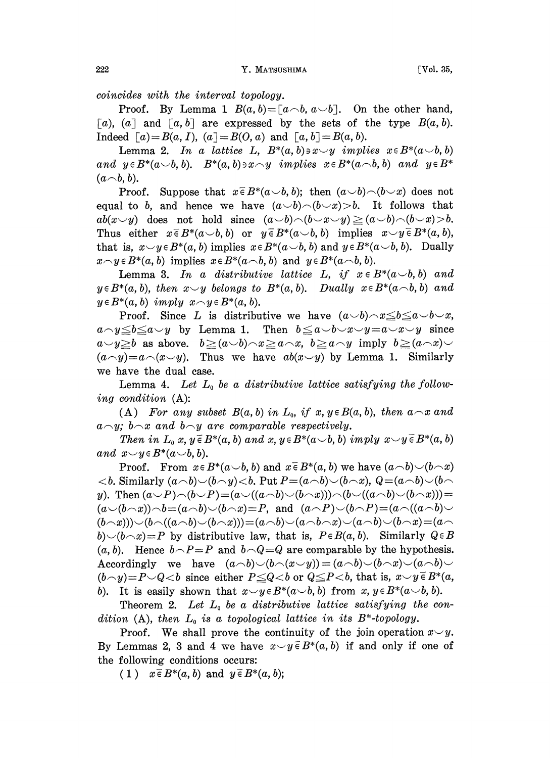222 **Y. MATSUSHIMA** [Vol. 35,

coincides with the interval topology.

Proof. By Lemma 1  $B(a, b) = [a \ncap b, a \ncap b]$ . On the other hand, [a), (a] and  $[a, b]$  are expressed by the sets of the type  $B(a, b)$ . Indeed  $[a]=B(a, I)$ ,  $(a]=B(0, a)$  and  $[a, b]=B(a, b)$ .

Lemma 2. In a lattice L,  $B^*(a, b) \ni x \smile y$  implies  $x \in B^*(a \smile b, b)$ and  $y \in B^*(a \cup b, b)$ .  $B^*(a, b) \ni x \land y$  implies  $x \in B^*(a \land b, b)$  and  $y \in B^*$  $(a \neg b, b)$ .

Proof. Suppose that  $x \in B^*(a \cup b, b)$ ; then  $(a \cup b) \cap (b \cup x)$  does not equal to b, and hence we have  $(a\smile b)\!\frown\!(b\smile x)\!\gtrsim b$ . It follows that  $ab(x \vee y)$  does not hold since  $(a \vee b) \wedge (b \vee x \vee y) \ge (a \vee b) \wedge (b \vee x) > b.$ Thus either  $x \in B^*(a \cup b, b)$  or  $y \in B^*(a \cup b, b)$  implies  $x \cup y \in B^*(a, b)$ , that is,  $x \smile y \in B^*(a, b)$  implies  $x \in B^*(a \smile b, b)$  and  $y \in B^*(a \smile b, b)$ . Dually  $x\wedge y\in B^*(a, b)$  implies  $x\in B^*(a\wedge b, b)$  and  $y\in B^*(a\wedge b, b)$ .

**Lemma 3.** In a distributive lattice L, if  $x \in B^*(a \cup b, b)$  and  $y \in B^*(a, b)$ , then  $x \smile y$  belongs to  $B^*(a, b)$ . Dually  $x \in B^*(a \frown b, b)$  and  $y \in B^*(a, b)$  imply  $x \cap y \in B^*(a, b)$ .

Proof. Since L is distributive we have  $(a \cup b) \land x \leq b \leq a \cup b \cup x$ , Proot. Since L is distributive we have  $(a\vee b)\wedge x \leq b \leq a\vee b\vee x$ ,<br> $a\wedge y \leq b \leq a\vee y$  by Lemma 1. Then  $b \leq a\vee b\vee x\vee y = a\vee x\vee y$  since  $a\begin{array}{ll}\n a\smallsmile y \leq b \leq a\smallsmile y \quad \text{by Lemma 1.} \quad \text{Then} \quad b \leq a\smallsmile b\smallsmile x\smallsmile y=a\smallsmile x\smallsmile y \quad \text{since} \quad a\smallsmile y \geq b \quad \text{as above.} \quad b \geq (a\smallsmile b)\land x \geq a\land x, \quad b \geq a\land y \quad \text{imply} \quad b \geq (a\land x)\smallsmile y \quad \text{and} \quad b\mid y \geq b \quad \text{and} \quad b\mid y \geq b \quad \text{and} \quad b\mid y \geq b \quad \text$  $(a\gamma)=a\(\alpha\vee y)$ . Thus we have  $ab(x\vee y)$  by Lemma 1. Similarly we have the dual case.

Lemma 4. Let  $L_0$  be a distributive lattice satisfying the following condition (A):

(A) For any subset  $B(a, b)$  in  $L_0$ , if  $x, y \in B(a, b)$ , then  $a \sim x$  and  $a \sim y$ ;  $b \sim x$  and  $b \sim y$  are comparable respectively.

Then in  $L_0$  x,  $y \in B^*(a, b)$  and x,  $y \in B^*(a \cup b, b)$  imply  $x \cup y \in B^*(a, b)$ and  $x \smile y \in B^*(a \smile b, b)$ .

Proof. From  $x \in B^*(a \cup b, b)$  and  $x \in B^*(a, b)$  we have  $(a \cap b) \cup (b \cap x)$  $$ y). Then  $(a\smile P)\!\frown\!(b\smile P)\!=\!(a\smile((a\!\frown\!b)\smile(b\!\frown\!x)))\!\frown\!(b\smile((a\!\frown\!b)\smile(b\!\frown\!x)))\!=\!$  $(a\smile(b\smile x))\smile b=(a\smile b)\smile(b\smile x)=P$ , and  $(a\smile P)\smile(b\smile P)=(a\smile((a\smile b)\smile$  $(b \neg x))\vee(b \neg ((a \neg b)\vee(b \neg x)))=(a \neg b)\vee(a \neg b \neg x)\vee(a \neg b)\vee(b \neg x)=(a \neg x)$  $b$ ) $(b \wedge x)=P$  by distributive law, that is,  $P \in B(a, b)$ . Similarly  $Q \in B$  $(a, b)$ . Hence  $b \neg P = P$  and  $b \neg Q = Q$  are comparable by the hypothesis. Accordingly we have  $(a\neg b)\neg(b\neg(x\vee y))=(a\neg b)\neg(b\neg x)\neg(a\neg b)\neg(x\vee b)$  $(b\gamma)=P\cup Q\lt b$  since either  $P\leq Q\lt b$  or  $Q\leq P\lt b$ , that is,  $x\vee y\in B^*(a,$ b). It is easily shown that  $x \smile y \in B^*(a \smile b, b)$  from  $x, y \in B^*(a \smile b, b)$ .

Theorem 2. Let  $L_0$  be a distributive lattice satisfying the condition (A), then  $L_0$  is a topological lattice in its  $B^*$ -topology.

Proof. We shall prove the continuity of the join operation  $x \sim y$ . By Lemmas 2, 3 and 4 we have  $x \smile y \in B^*(a, b)$  if and only if one of the following conditions occurs:

(1)  $x \in B^*(a, b)$  and  $y \in B^*(a, b)$ ;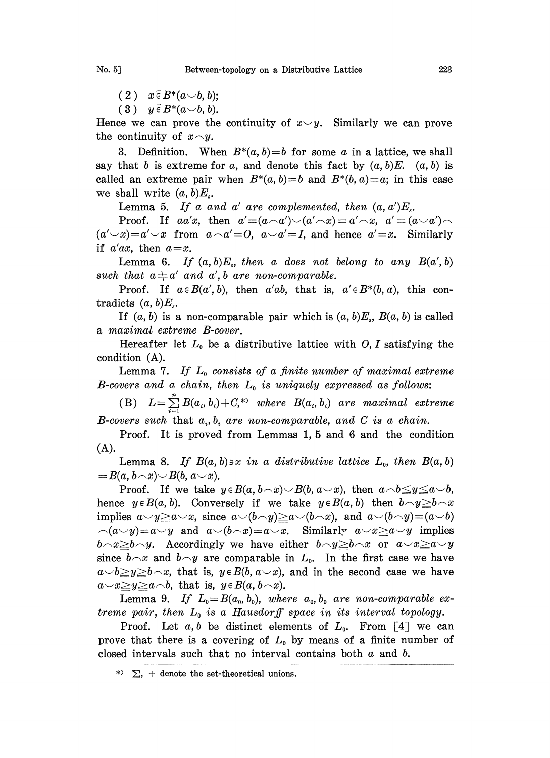$(2)$   $x \in B^*(a \cup b, b);$ 

 $(3)$   $y \in B^*(a \cup b, b).$ 

Hence we can prove the continuity of  $x \vee y$ . Similarly we can prove the continuity of  $x \neg y$ .

3. Definition. When  $B^*(a, b)=b$  for some a in a lattice, we shall say that b is extreme for a, and denote this fact by  $(a, b)E$ .  $(a, b)$  is called an extreme pair when  $B^*(a, b)=b$  and  $B^*(b, a)=a$ ; in this case we shall write  $(a, b)E_s$ .

Lemma 5. If a and a' are complemented, then  $(a, a')E_s$ .

Proof. If aa'x, then  $a'=(a\wedge a')\vee (a'\wedge x)=a'\wedge x$ ,  $a'=(a\vee a')\wedge$  $(a'\neg x)=a'\neg x$  from  $a\neg a'=0$ ,  $a\neg a'=I$ , and hence  $a'=x$ . Similarly if  $a'ax$ , then  $a=x$ .

Lemma 6. If  $(a, b)E_s$ , then a does not belong to any  $B(a', b)$ such that  $a \neq a'$  and  $a', b$  are non-comparable.

Proof. If  $a \in B(a', b)$ , then  $a'ab$ , that is,  $a' \in B^*(b, a)$ , this contradicts  $(a, b)E_s$ .

If  $(a, b)$  is a non-comparable pair which is  $(a, b)E_s$ ,  $B(a, b)$  is called a maximal extreme B-cover.

Hereafter let  $L_0$  be a distributive lattice with O, I satisfying the condition (A).

Lemma 7. If  $L_0$  consists of a finite number of maximal extreme B-covers and a chain, then  $L_0$  is uniquely expressed as follows:

 $\text{(B)} \quad L \!=\! \sum\limits_{i=1}\textit{B}(a_i,b_i) \!+\! \textit{C},^* \!\!~\text{ where }~\textit{B}(a_i,b_i) \text{ are maximal extreme}$ B-covers such that  $a_i, b_i$  are non-comparable, and C is a chain.

Proof. It is proved from Lemmas 1, 5 and 6 and the condition (A).

Lemma 8. If  $B(a, b) \ni x \in a$  distributive lattice  $L_0$ , then  $B(a, b)$  $B(a, b \neg x) \negthinspace \smash\smile B(b, a \negthinspace \smash\smile x).$ 

Proof. If we take  $y \in B(a, b \wedge x) \cup B(b, a \vee x)$ , then  $a \wedge b \leq y \leq a \vee b$ , hence  $y \in B(a, b)$ . Conversely if we take  $y \in B(a, b)$  then  $b \cap y \geq b \cap x$ implies  $a \vee y \ge a \vee x$ , since  $a \vee (b \wedge y) \ge a \vee (b \wedge x)$ , and  $a \vee (b \wedge y) = (a \vee b)$  $\alpha(y)=a\vee y$  and  $a\vee(b\wedge x)=a\vee x$ . Similarly  $a\vee x\geq a\vee y$  implies  $b \neg x \geq b \neg y$ . Accordingly we have either  $b \neg y \geq b \neg x$  or  $a \neg x \geq a \neg y$ since  $b \wedge x$  and  $b \wedge y$  are comparable in  $L_0$ . In the first case we have  $a \rightarrow b \geq y \geq b \land x$ , that is,  $y \in B(b, a \lor x)$ , and in the second case we have  $a \sim x \geq y \geq a \sim b$ , that is,  $y \in B(a, b \sim x)$ .

Lemma 9. If  $L_0=B(a_0, b_0)$ , where  $a_0, b_0$  are non-comparable extreme pair, then  $L_0$  is a Hausdorff space in its interval topology.

Proof. Let  $a, b$  be distinct elements of  $L_0$ . From [4] we can prove that there is a covering of  $L_0$  by means of a finite number of closed intervals such that no interval contains both  $a$  and  $b$ .

 $\gg$   $\sum$ , + denote the set-theoretical unions.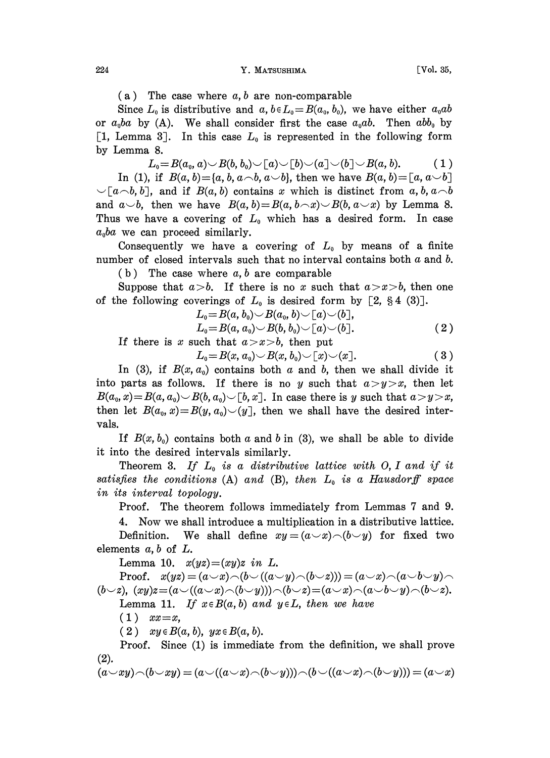## 224 **Y. MATSUSHIMA** [Vol. 35,

 $(a)$  The case where  $a, b$  are non-comparable

Since  $L_0$  is distributive and  $a, b \in L_0=B(a_0, b_0)$ , we have either  $a_0ab$ or  $a_0ba$  by (A). We shall consider first the case  $a_0ab$ . Then  $abb_0$  by [1, Lemma 3]. In this case  $L_0$  is represented in the following form by Lemma 8.

 $L_0\!=\! B(a_0, a)\!\cup\! B(b, b_0)\!\cup\![a]\!\cup\![b]\!\cup\![a]\!\cup\![b]\!\cup\!B(a, b). \qquad\quad\!\!\!\!(\ 1\,)$ In (1), if  $B(a, b) = \{a, b, a \& b, a \& b\}$ , then we have  $B(a, b) = [a, a \& b]$  $\bigcup [a \neg b, b],$  and if  $B(a, b)$  contains x which is distinct from a, b,  $a \neg b$ and  $a \smile b$ , then we have  $B(a, b)=B(a, b \frown x) \smile B(b, a \smile x)$  by Lemma 8. Thus we have a covering of  $L_0$  which has a desired form. In case  $a_0ba$  we can proceed similarly.

Consequently we have a covering of  $L_0$  by means of a finite number of closed intervals such that no interval contains both  $a$  and  $b$ .

 $(b)$  The case where  $a, b$  are comparable

Suppose that  $a > b$ . If there is no x such that  $a > x > b$ , then one of the following coverings of  $L_0$  is desired form by [2, §4 (3)].

$$
L_0 = B(a, b_0) \smile B(a_0, b) \smile [a] \smile (b),
$$
  
\n
$$
L_0 = B(a, a_0) \smile B(b, b_0) \smile [a] \smile (b).
$$
\n
$$
(2)
$$

If there is x such that  $a > x > b$ , then put

 $L_0=B(x, a_0) \smile B(x, b_0) \smile [x] \smile(x]$ . (3)

In (3), if  $B(x, a_0)$  contains both a and b, then we shall divide it into parts as follows. If there is no y such that  $a>y>x$ , then let  $B(a_0, x) = B(a, a_0) \cup B(b, a_0) \cup [b, x]$ . In case there is y such that  $a > y > x$ , then let  $B(a_0, x) = B(y, a_0) \setminus (y)$ , then we shall have the desired intervals.

If  $B(x, b_0)$  contains both a and b in (3), we shall be able to divide it into the desired intervals similarly.

Theorem 3. If  $L_0$  is a distributive lattice with O, I and if it satisfies the conditions (A) and (B), then  $L_0$  is a Hausdorff space in its interval topology.

Proof. The theorem follows immediately from Lemmas 7 and 9.

4. Now we shall introduce a multiplication in a distributive lattice. Definition. We shall define  $xy=(a\vee x)\wedge(b\vee y)$  for fixed two elements  $a, b$  of  $L$ .

Lemma 10.  $x(yz)=(xy)z$  in L.

Proof.  $x(yz) = (a \vee x) \wedge (b \vee ((a \vee y) \wedge (b \vee z))) = (a \vee x) \wedge (a \vee b \vee y) \wedge$  $(b\vee z)$ ,  $(xy)z=(a\vee((a\vee x)\wedge(b\vee y))\wedge(b\vee z)=(a\vee x)\wedge(a\vee b\vee y)\wedge(b\vee z).$ Lemma 11. If  $x \in B(a, b)$  and  $y \in L$ , then we have

 $(1)$   $xx=x,$ 

 $(2)$   $xy \in B(a, b)$ ,  $yx \in B(a, b)$ .

Proof. Since (1) is immediate from the definition, we shall prove (2).

$$
(a \cup xy) \cap (b \cup xy) = (a \cup ((a \cup x) \cap (b \cup y))) \cap (b \cup ((a \cup x) \cap (b \cup y))) = (a \cup x)
$$